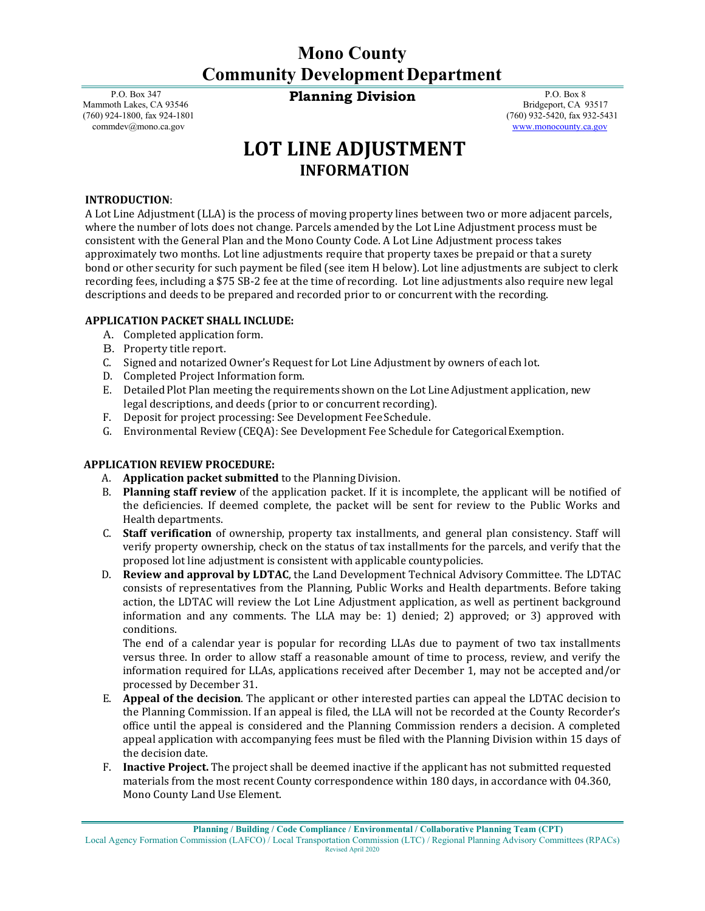# **Mono County Community Development Department**

P.O. Box 347 Mammoth Lakes, CA 93546 (760) 924-1800, fax 924-1801 [commdev@mono.ca.gov](mailto:commdev@mono.ca.gov)

**Planning Division** P.O. Box 8

Bridgeport, CA 93517 (760) 932-5420, fax 932-5431 [www.monocounty.ca.gov](http://www.monocounty.ca.gov/)

# **LOT LINE ADJUSTMENT INFORMATION**

### **INTRODUCTION**:

A Lot Line Adjustment (LLA) is the process of moving property lines between two or more adjacent parcels, where the number of lots does not change. Parcels amended by the Lot Line Adjustment process must be consistent with the General Plan and the Mono County Code. A Lot Line Adjustment process takes approximately two months. Lot line adjustments require that property taxes be prepaid or that a surety bond or other security for such payment be filed (see item H below). Lot line adjustments are subject to clerk recording fees, including a \$75 SB-2 fee at the time of recording. Lot line adjustments also require new legal descriptions and deeds to be prepared and recorded prior to or concurrent with the recording.

## **APPLICATION PACKET SHALL INCLUDE:**

- A. Completed application form.
- B. Property title report.
- C. Signed and notarized Owner's Request for Lot Line Adjustment by owners of each lot.
- D. Completed Project Information form.
- E. Detailed Plot Plan meeting the requirements shown on the Lot Line Adjustment application, new legal descriptions, and deeds (prior to or concurrent recording).
- F. Deposit for project processing: See Development Fee Schedule.
- G. Environmental Review (CEQA): See Development Fee Schedule for CategoricalExemption.

## **APPLICATION REVIEW PROCEDURE:**

- A. **Application packet submitted** to the Planning Division.
- B. **Planning staff review** of the application packet. If it is incomplete, the applicant will be notified of the deficiencies. If deemed complete, the packet will be sent for review to the Public Works and Health departments.
- C. **Staff verification** of ownership, property tax installments, and general plan consistency. Staff will verify property ownership, check on the status of tax installments for the parcels, and verify that the proposed lot line adjustment is consistent with applicable countypolicies.
- D. **Review and approval by LDTAC**, the Land Development Technical Advisory Committee. The LDTAC consists of representatives from the Planning, Public Works and Health departments. Before taking action, the LDTAC will review the Lot Line Adjustment application, as well as pertinent background information and any comments. The LLA may be: 1) denied; 2) approved; or 3) approved with conditions.

The end of a calendar year is popular for recording LLAs due to payment of two tax installments versus three. In order to allow staff a reasonable amount of time to process, review, and verify the information required for LLAs, applications received after December 1, may not be accepted and/or processed by December 31.

- E. **Appeal of the decision**. The applicant or other interested parties can appeal the LDTAC decision to the Planning Commission. If an appeal is filed, the LLA will not be recorded at the County Recorder's office until the appeal is considered and the Planning Commission renders a decision. A completed appeal application with accompanying fees must be filed with the Planning Division within 15 days of the decision date.
- F. **Inactive Project.** The project shall be deemed inactive if the applicant has not submitted requested materials from the most recent County correspondence within 180 days, in accordance with 04.360, Mono County Land Use Element.

**Planning / Building / Code Compliance / Environmental / Collaborative Planning Team (CPT)**

Local Agency Formation Commission (LAFCO) / Local Transportation Commission (LTC) / Regional Planning Advisory Committees (RPACs) Revised April 2020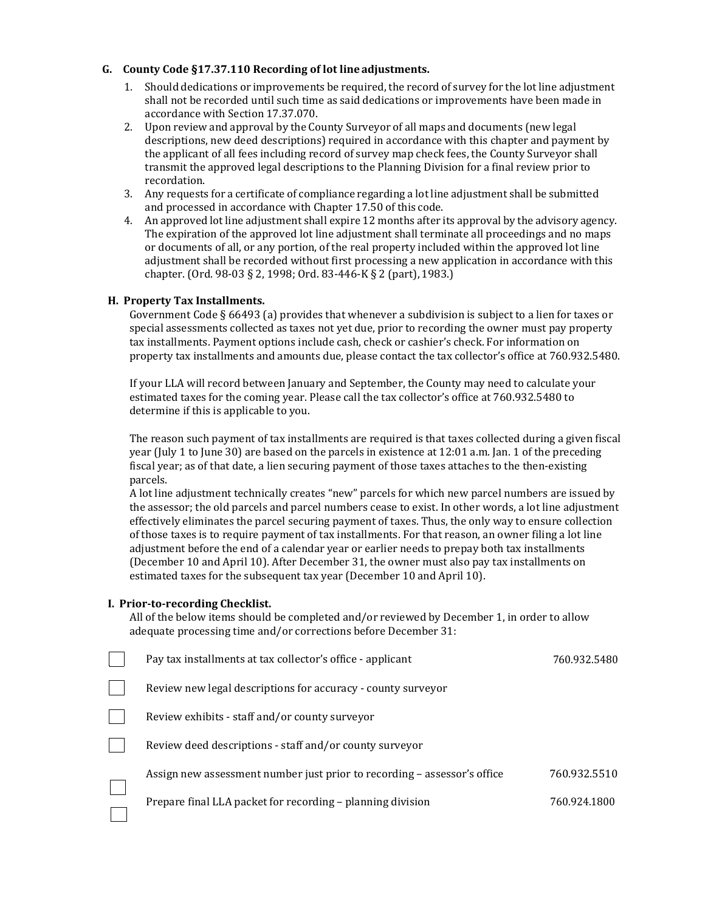### **G. County Code §17.37.110 Recording of lot line adjustments.**

- 1. Should dedications or improvements be required, the record of survey for the lot line adjustment shall not be recorded until such time as said dedications or improvements have been made in accordance with Section 17.37.070.
- 2. Upon review and approval by the County Surveyor of all maps and documents (new legal descriptions, new deed descriptions) required in accordance with this chapter and payment by the applicant of all fees including record of survey map check fees, the County Surveyor shall transmit the approved legal descriptions to the Planning Division for a final review prior to recordation.
- 3. Any requests for a certificate of compliance regarding a lot line adjustment shall be submitted and processed in accordance with Chapter 17.50 of this code.
- 4. An approved lot line adjustment shall expire 12 months after its approval by the advisory agency. The expiration of the approved lot line adjustment shall terminate all proceedings and no maps or documents of all, or any portion, of the real property included within the approved lot line adjustment shall be recorded without first processing a new application in accordance with this chapter. (Ord. 98-03 § 2, 1998; Ord. 83-446-K § 2 (part), 1983.)

### **H. Property Tax Installments.**

Government Code § 66493 (a) provides that whenever a subdivision is subject to a lien for taxes or special assessments collected as taxes not yet due, prior to recording the owner must pay property tax installments. Payment options include cash, check or cashier's check. For information on property tax installments and amounts due, please contact the tax collector's office at 760.932.5480.

If your LLA will record between January and September, the County may need to calculate your estimated taxes for the coming year. Please call the tax collector's office at 760.932.5480 to determine if this is applicable to you.

The reason such payment of tax installments are required is that taxes collected during a given fiscal year (July 1 to June 30) are based on the parcels in existence at 12:01 a.m. Jan. 1 of the preceding fiscal year; as of that date, a lien securing payment of those taxes attaches to the then-existing parcels.

A lot line adjustment technically creates "new" parcels for which new parcel numbers are issued by the assessor; the old parcels and parcel numbers cease to exist. In other words, a lot line adjustment effectively eliminates the parcel securing payment of taxes. Thus, the only way to ensure collection of those taxes is to require payment of tax installments. For that reason, an owner filing a lot line adjustment before the end of a calendar year or earlier needs to prepay both tax installments (December 10 and April 10). After December 31, the owner must also pay tax installments on estimated taxes for the subsequent tax year (December 10 and April 10).

### **I. Prior-to-recording Checklist.**

All of the below items should be completed and/or reviewed by December 1, in order to allow adequate processing time and/or corrections before December 31:

| Pay tax installments at tax collector's office - applicant               | 760.932.5480 |
|--------------------------------------------------------------------------|--------------|
| Review new legal descriptions for accuracy - county surveyor             |              |
| Review exhibits - staff and/or county surveyor                           |              |
| Review deed descriptions - staff and/or county surveyor                  |              |
| Assign new assessment number just prior to recording - assessor's office | 760.932.5510 |
| Prepare final LLA packet for recording - planning division               | 760.924.1800 |
|                                                                          |              |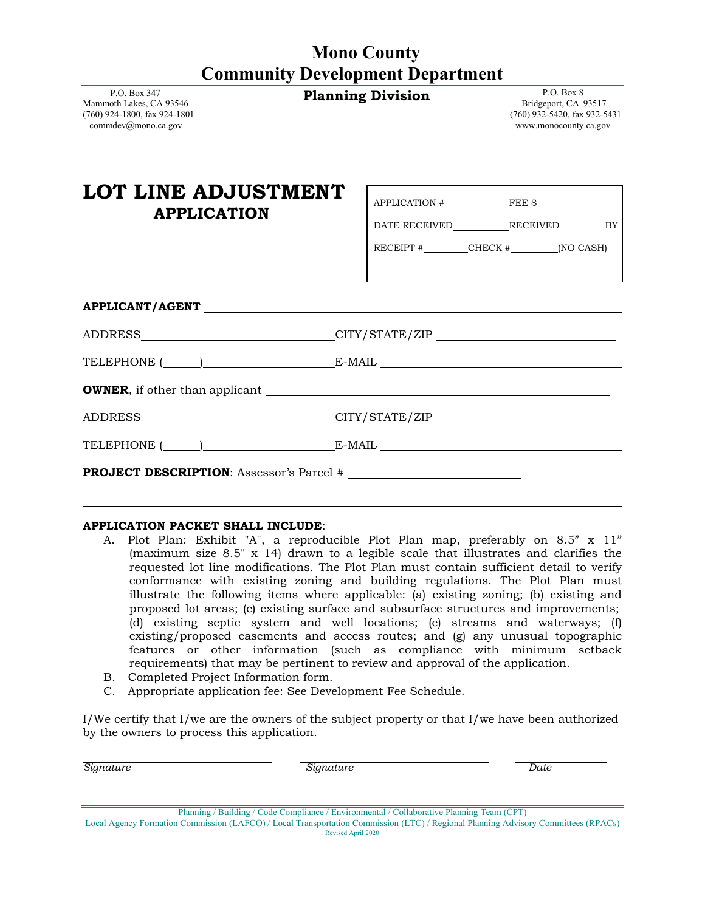## **Mono County Community Development Department**

Mammoth Lakes, CA 93546 (760) 924-1800, fax 924-1801

P.O. Box 347

[commdev@mono.ca.gov](mailto:commdev@mono.ca.gov)

**Planning Division** P.O. Box 8

Bridgeport, CA 93517 (760) 932-5420, fax 932-5431 [www.monocounty.ca.gov](http://www.monocounty.ca.gov/)

| LOT LINE ADJUSTMENT<br><b>APPLICATION</b>                                                                             | $APPLICATION \#$ FEE $\$$<br>RECEIPT $\#$ CHECK $\#$ (NO CASH) |  |  |  |  |
|-----------------------------------------------------------------------------------------------------------------------|----------------------------------------------------------------|--|--|--|--|
|                                                                                                                       |                                                                |  |  |  |  |
| ADDRESS_________________________________CITY/STATE/ZIP _________________________                                      |                                                                |  |  |  |  |
| TELEPHONE (Department of the E-MAIL E-MAIL Department of the E-MAIL Department of the E-MAIL Department of the E-MAIL |                                                                |  |  |  |  |
|                                                                                                                       |                                                                |  |  |  |  |
| ADDRESS CITY/STATE/ZIP                                                                                                |                                                                |  |  |  |  |
|                                                                                                                       |                                                                |  |  |  |  |
|                                                                                                                       |                                                                |  |  |  |  |

### **APPLICATION PACKET SHALL INCLUDE**:

- A. Plot Plan: Exhibit "A", a reproducible Plot Plan map, preferably on 8.5" x 11" (maximum size 8.5" x 14) drawn to a legible scale that illustrates and clarifies the requested lot line modifications. The Plot Plan must contain sufficient detail to verify conformance with existing zoning and building regulations. The Plot Plan must illustrate the following items where applicable: (a) existing zoning; (b) existing and proposed lot areas; (c) existing surface and subsurface structures and improvements; (d) existing septic system and well locations; (e) streams and waterways; (f) existing/proposed easements and access routes; and (g) any unusual topographic features or other information (such as compliance with minimum setback requirements) that may be pertinent to review and approval of the application.
- B. Completed Project Information form.
- C. Appropriate application fee: See Development Fee Schedule.

I/We certify that I/we are the owners of the subject property or that I/we have been authorized by the owners to process this application.

*Signature Signature Date*

Planning / Building / Code Compliance / Environmental / Collaborative Planning Team (CPT)

Local Agency Formation Commission (LAFCO) / Local Transportation Commission (LTC) / Regional Planning Advisory Committees (RPACs) Revised April 2020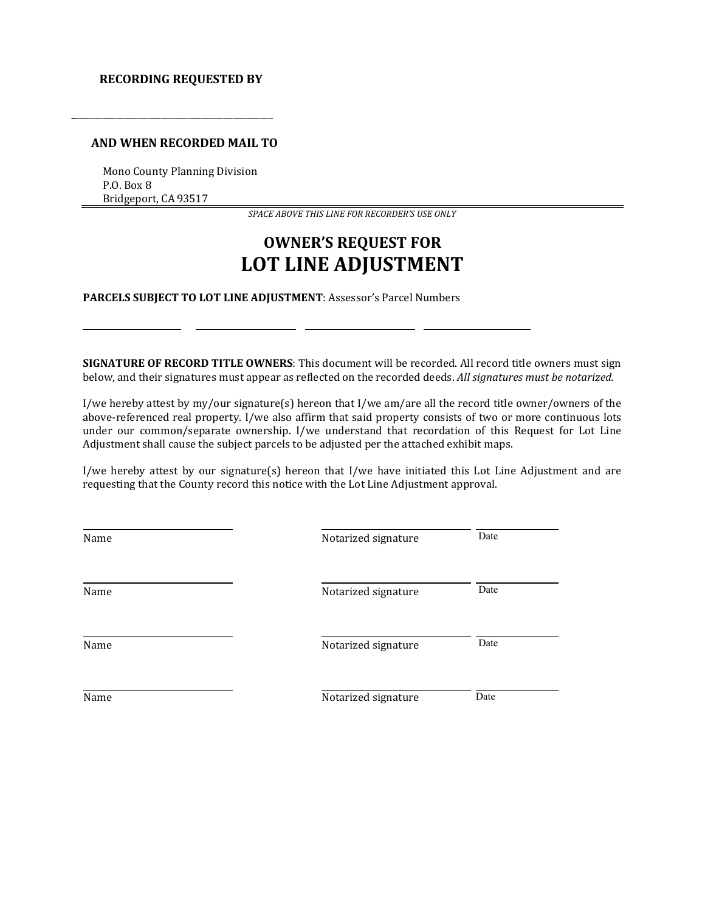**\_**\_\_\_\_\_\_\_\_\_\_\_\_\_\_\_\_\_\_\_\_\_\_\_\_\_\_\_\_\_\_\_\_\_\_\_\_\_\_\_\_\_\_\_\_

### **AND WHEN RECORDED MAIL TO**

Mono County Planning Division P.O. Box 8 Bridgeport, CA 93517

*SPACE ABOVE THIS LINE FOR RECORDER'S USE ONLY*

# **OWNER'S REQUEST FOR LOT LINE ADJUSTMENT**

**PARCELS SUBJECT TO LOT LINE ADJUSTMENT**: Assessor's Parcel Numbers

**SIGNATURE OF RECORD TITLE OWNERS**: This document will be recorded. All record title owners must sign below, and their signatures must appear as reflected on the recorded deeds. *All signatures must be notarized.*

I/we hereby attest by my/our signature(s) hereon that I/we am/are all the record title owner/owners of the above-referenced real property. I/we also affirm that said property consists of two or more continuous lots under our common/separate ownership. I/we understand that recordation of this Request for Lot Line Adjustment shall cause the subject parcels to be adjusted per the attached exhibit maps.

I/we hereby attest by our signature(s) hereon that I/we have initiated this Lot Line Adjustment and are requesting that the County record this notice with the Lot Line Adjustment approval.

| Name | Notarized signature | Date |
|------|---------------------|------|
| Name | Notarized signature | Date |
| Name | Notarized signature | Date |
| Name | Notarized signature | Date |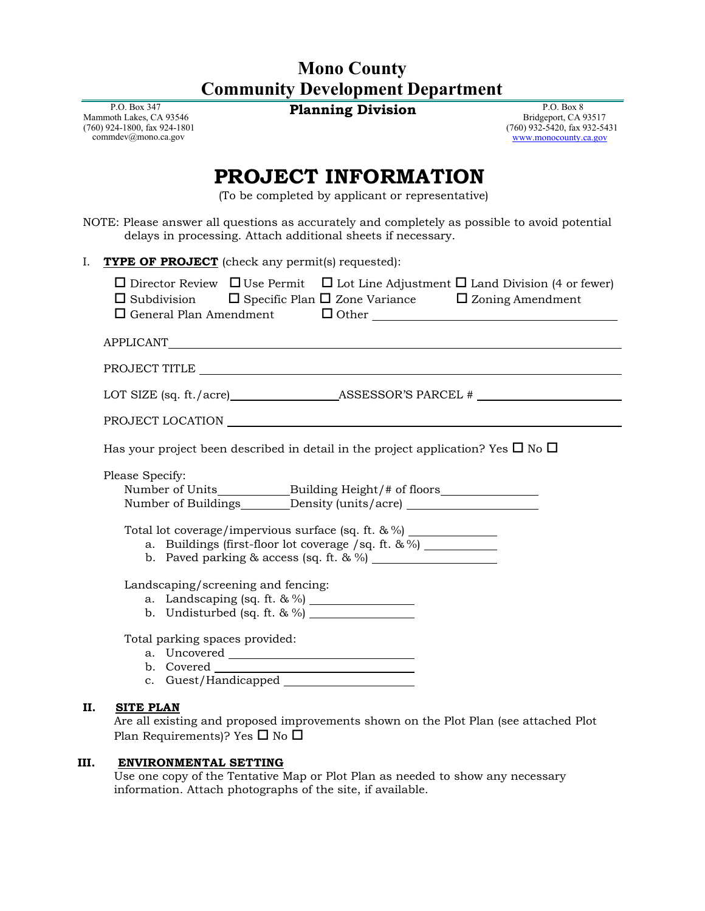# **Mono County Community Development Department**

**Planning Division** P.O. Box 8

P.O. Box 347 Mammoth Lakes, CA 93546 (760) 924-1800, fax 924-1801 [commdev@mono.ca.gov](mailto:commdev@mono.ca.gov)

Bridgeport, CA 93517 (760) 932-5420, fax 932-5431 [www.monocounty.ca.gov](http://www.monocounty.ca.gov/)

# **PROJECT INFORMATION**

(To be completed by applicant or representative)

NOTE: Please answer all questions as accurately and completely as possible to avoid potential delays in processing. Attach additional sheets if necessary.

|  | <b>TYPE OF PROJECT</b> (check any permit(s) requested): |  |  |  |  |  |
|--|---------------------------------------------------------|--|--|--|--|--|
|--|---------------------------------------------------------|--|--|--|--|--|

| $\Box$ Director Review $\Box$ Use Permit $\Box$ Lot Line Adjustment $\Box$ Land Division (4 or fewer)<br>$\Box$ Subdivision $\Box$ Specific Plan $\Box$ Zone Variance $\Box$ Zoning Amendment |
|-----------------------------------------------------------------------------------------------------------------------------------------------------------------------------------------------|
|                                                                                                                                                                                               |
|                                                                                                                                                                                               |
|                                                                                                                                                                                               |
|                                                                                                                                                                                               |
| Has your project been described in detail in the project application? Yes $\square$ No $\square$                                                                                              |
| Please Specify:<br>Number of Buildings_______Density (units/acre) _________________________________                                                                                           |
| a. Buildings (first-floor lot coverage /sq. ft. $\&\%$ )                                                                                                                                      |
| Landscaping/screening and fencing:<br>b. Undisturbed (sq. ft. & %) $\frac{1}{2}$                                                                                                              |
| Total parking spaces provided:                                                                                                                                                                |

### **II. SITE PLAN**

Are all existing and proposed improvements shown on the Plot Plan (see attached Plot Plan Requirements)? Yes  $\Box$  No  $\Box$ 

### **III. ENVIRONMENTAL SETTING**

Use one copy of the Tentative Map or Plot Plan as needed to show any necessary information. Attach photographs of the site, if available.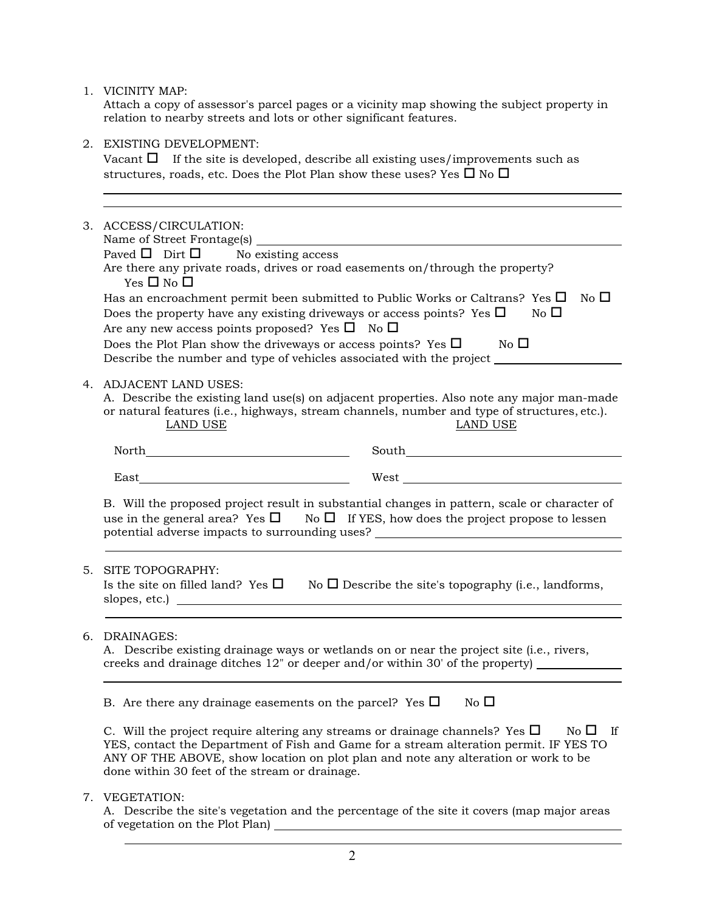|  |  | VICINITY MAP: |  |
|--|--|---------------|--|
|--|--|---------------|--|

Attach a copy of assessor's parcel pages or a vicinity map showing the subject property in relation to nearby streets and lots or other significant features.

2. EXISTING DEVELOPMENT:

Vacant  $\Box$  If the site is developed, describe all existing uses/improvements such as structures, roads, etc. Does the Plot Plan show these uses? Yes  $\Box$  No  $\Box$ 

|    | 3. ACCESS/CIRCULATION:<br>Name of Street Frontage(s)                                                                                                                                                                                                                                                                                                                                                                                                             |
|----|------------------------------------------------------------------------------------------------------------------------------------------------------------------------------------------------------------------------------------------------------------------------------------------------------------------------------------------------------------------------------------------------------------------------------------------------------------------|
|    | Paved $\Box$ Dirt $\Box$<br>No existing access<br>Are there any private roads, drives or road easements on/through the property?<br>$Yes \Box No \Box$                                                                                                                                                                                                                                                                                                           |
|    | Has an encroachment permit been submitted to Public Works or Caltrans? Yes $\Box$<br>No $\Box$<br>Does the property have any existing driveways or access points? Yes $\Box$<br>$\overline{N_{\Omega}}$ $\Box$<br>Are any new access points proposed? Yes $\square$ No $\square$<br>Does the Plot Plan show the driveways or access points? Yes $\Box$<br>No $\Box$                                                                                              |
|    | Describe the number and type of vehicles associated with the project ______                                                                                                                                                                                                                                                                                                                                                                                      |
|    | 4. ADJACENT LAND USES:<br>A. Describe the existing land use(s) on adjacent properties. Also note any major man-made<br>or natural features (i.e., highways, stream channels, number and type of structures, etc.).<br><b>LAND USE</b><br><b>LAND USE</b>                                                                                                                                                                                                         |
|    | South the contract of the contract of the contract of the contract of the contract of the contract of the contract of the contract of the contract of the contract of the contract of the contract of the contract of the cont<br>North Parties and the contract of the contract of the contract of the contract of the contract of the contract of the contract of the contract of the contract of the contract of the contract of the contract of the contract |
|    |                                                                                                                                                                                                                                                                                                                                                                                                                                                                  |
|    | B. Will the proposed project result in substantial changes in pattern, scale or character of<br>use in the general area? Yes $\square$ No $\square$ If YES, how does the project propose to lessen<br>potential adverse impacts to surrounding uses? _________________________________                                                                                                                                                                           |
|    |                                                                                                                                                                                                                                                                                                                                                                                                                                                                  |
| 5. | SITE TOPOGRAPHY:<br>Is the site on filled land? Yes $\Box$ No $\Box$ Describe the site's topography (i.e., landforms,                                                                                                                                                                                                                                                                                                                                            |
|    |                                                                                                                                                                                                                                                                                                                                                                                                                                                                  |
|    | 6. DRAINAGES:<br>A. Describe existing drainage ways or wetlands on or near the project site (i.e., rivers,<br>creeks and drainage ditches 12" or deeper and/or within 30' of the property)                                                                                                                                                                                                                                                                       |
|    |                                                                                                                                                                                                                                                                                                                                                                                                                                                                  |
|    | B. Are there any drainage easements on the parcel? Yes $\square$ No $\square$                                                                                                                                                                                                                                                                                                                                                                                    |
|    | C. Will the project require altering any streams or drainage channels? Yes $\Box$<br>$\mathbb{N}^{\circ} \sqcup \mathbb{N}$<br>YES, contact the Department of Fish and Game for a stream alteration permit. IF YES TO<br>ANY OF THE ABOVE, show location on plot plan and note any alteration or work to be<br>done within 30 feet of the stream or drainage.                                                                                                    |
|    |                                                                                                                                                                                                                                                                                                                                                                                                                                                                  |

7. VEGETATION:

A. Describe the site's vegetation and the percentage of the site it covers (map major areas of vegetation on the Plot Plan)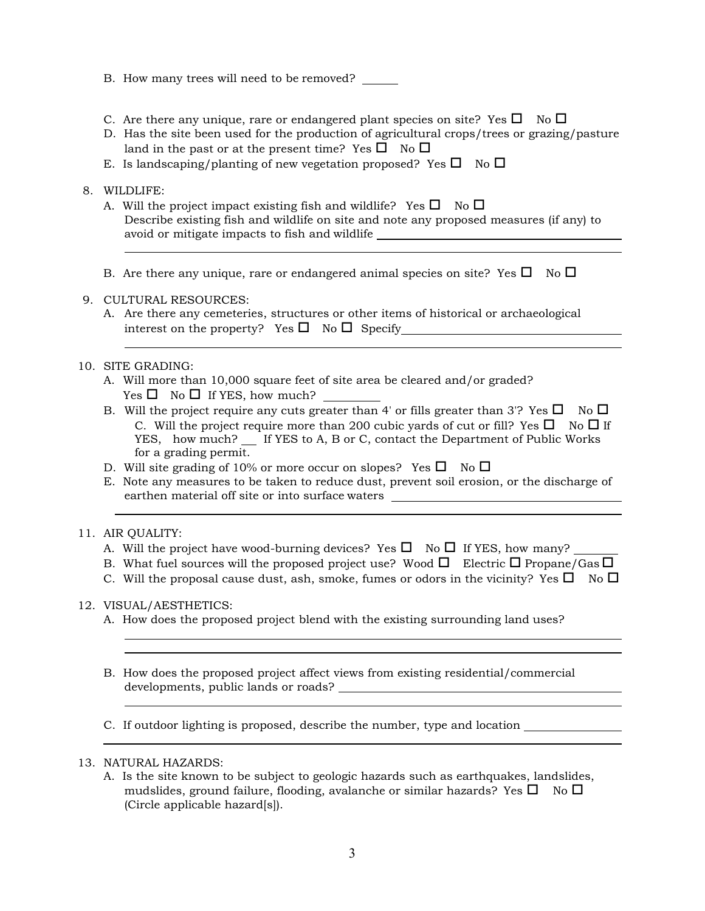- B. How many trees will need to be removed?
- C. Are there any unique, rare or endangered plant species on site? Yes  $\Box$  No  $\Box$
- D. Has the site been used for the production of agricultural crops/trees or grazing/pasture land in the past or at the present time? Yes  $\square$  No  $\square$
- E. Is landscaping/planting of new vegetation proposed? Yes  $\Box$  No  $\Box$

### 8. WILDLIFE:

- A. Will the project impact existing fish and wildlife? Yes  $\square$  No  $\square$ Describe existing fish and wildlife on site and note any proposed measures (if any) to avoid or mitigate impacts to fish and wildlife
- B. Are there any unique, rare or endangered animal species on site? Yes  $\square$  No  $\square$

### 9. CULTURAL RESOURCES:

A. Are there any cemeteries, structures or other items of historical or archaeological interest on the property? Yes No Specify

### 10. SITE GRADING:

- A. Will more than 10,000 square feet of site area be cleared and/or graded? Yes  $\Box$  No  $\Box$  If YES, how much?
- B. Will the project require any cuts greater than 4' or fills greater than 3'? Yes  $\square$  No  $\square$ C. Will the project require more than 200 cubic yards of cut or fill? Yes  $\Box$  No  $\Box$  If YES, how much? If YES to A, B or C, contact the Department of Public Works for a grading permit.
- D. Will site grading of 10% or more occur on slopes? Yes  $\square$  No  $\square$
- E. Note any measures to be taken to reduce dust, prevent soil erosion, or the discharge of earthen material off site or into surface waters

### 11. AIR QUALITY:

- A. Will the project have wood-burning devices? Yes  $\Box$  No  $\Box$  If YES, how many?
- B. What fuel sources will the proposed project use? Wood  $\Box$  Electric  $\Box$  Propane/Gas  $\Box$
- C. Will the proposal cause dust, ash, smoke, fumes or odors in the vicinity? Yes  $\Box$  No  $\Box$

### 12. VISUAL/AESTHETICS:

- A. How does the proposed project blend with the existing surrounding land uses?
- B. How does the proposed project affect views from existing residential/commercial developments, public lands or roads?

C. If outdoor lighting is proposed, describe the number, type and location

### 13. NATURAL HAZARDS:

A. Is the site known to be subject to geologic hazards such as earthquakes, landslides, mudslides, ground failure, flooding, avalanche or similar hazards? Yes  $\square$  No  $\square$ (Circle applicable hazard[s]).